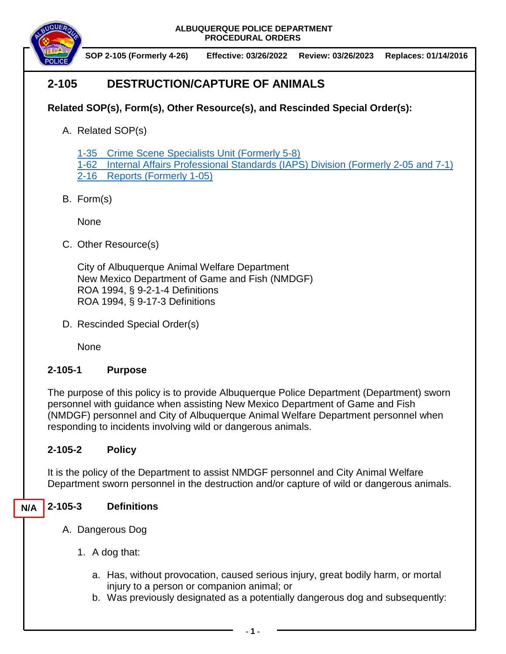**ALBUQUERQUE POLICE DEPARTMENT PROCEDURAL ORDERS**



 **SOP 2-105 (Formerly 4-26) Effective: 03/26/2022 Review: 03/26/2023 Replaces: 01/14/2016**

# **2-105 DESTRUCTION/CAPTURE OF ANIMALS**

## **Related SOP(s), Form(s), Other Resource(s), and Rescinded Special Order(s):**

A. Related SOP(s)

1-35 [Crime Scene Specialists](https://powerdms.com/docs/525279?q=1-35) Unit (Formerly 5-8)

1-62 [Internal Affairs Professional Standards \(IAPS\) Division \(Formerly 2-05 and 7-1\)](https://powerdms.com/docs/445?q=1-62) 2-16 Reports [\(Formerly 1-05\)](https://powerdms.com/docs/19?q=2-16)

B. Form(s)

None

C. Other Resource(s)

City of Albuquerque Animal Welfare Department New Mexico Department of Game and Fish (NMDGF) ROA 1994, § 9-2-1-4 Definitions ROA 1994, § 9-17-3 Definitions

D. Rescinded Special Order(s)

None

### **2-105-1 Purpose**

The purpose of this policy is to provide Albuquerque Police Department (Department) sworn personnel with guidance when assisting New Mexico Department of Game and Fish (NMDGF) personnel and City of Albuquerque Animal Welfare Department personnel when responding to incidents involving wild or dangerous animals.

### **2-105-2 Policy**

It is the policy of the Department to assist NMDGF personnel and City Animal Welfare Department sworn personnel in the destruction and/or capture of wild or dangerous animals.

#### **2-105-3 Definitions N/A**

- A. Dangerous Dog
	- 1. A dog that:
		- a. Has, without provocation, caused serious injury, great bodily harm, or mortal injury to a person or companion animal; or
		- b. Was previously designated as a potentially dangerous dog and subsequently: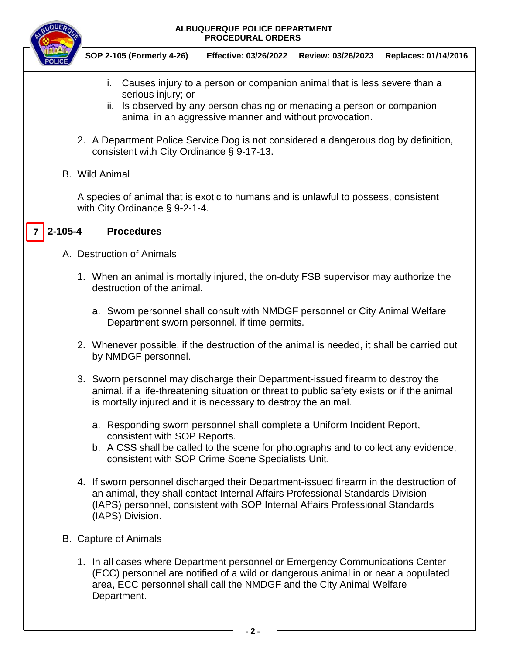#### **ALBUQUERQUE POLICE DEPARTMENT PROCEDURAL ORDERS**



 **SOP 2-105 (Formerly 4-26) Effective: 03/26/2022 Review: 03/26/2023 Replaces: 01/14/2016**

- i. Causes injury to a person or companion animal that is less severe than a serious injury; or
- ii. Is observed by any person chasing or menacing a person or companion animal in an aggressive manner and without provocation.
- 2. A Department Police Service Dog is not considered a dangerous dog by definition, consistent with City Ordinance § 9-17-13.
- B. Wild Animal

A species of animal that is exotic to humans and is unlawful to possess, consistent with City Ordinance § 9-2-1-4.

#### **2-105-4 Procedures 7**

- A. Destruction of Animals
	- 1. When an animal is mortally injured, the on-duty FSB supervisor may authorize the destruction of the animal.
		- a. Sworn personnel shall consult with NMDGF personnel or City Animal Welfare Department sworn personnel, if time permits.
	- 2. Whenever possible, if the destruction of the animal is needed, it shall be carried out by NMDGF personnel.
	- 3. Sworn personnel may discharge their Department-issued firearm to destroy the animal, if a life-threatening situation or threat to public safety exists or if the animal is mortally injured and it is necessary to destroy the animal.
		- a. Responding sworn personnel shall complete a Uniform Incident Report, consistent with SOP Reports.
		- b. A CSS shall be called to the scene for photographs and to collect any evidence, consistent with SOP Crime Scene Specialists Unit.
	- 4. If sworn personnel discharged their Department-issued firearm in the destruction of an animal, they shall contact Internal Affairs Professional Standards Division (IAPS) personnel, consistent with SOP Internal Affairs Professional Standards (IAPS) Division.
- B. Capture of Animals
	- 1. In all cases where Department personnel or Emergency Communications Center (ECC) personnel are notified of a wild or dangerous animal in or near a populated area, ECC personnel shall call the NMDGF and the City Animal Welfare Department.